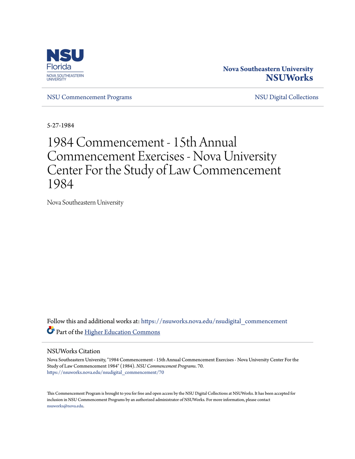

#### **Nova Southeastern University [NSUWorks](https://nsuworks.nova.edu?utm_source=nsuworks.nova.edu%2Fnsudigital_commencement%2F70&utm_medium=PDF&utm_campaign=PDFCoverPages)**

[NSU Commencement Programs](https://nsuworks.nova.edu/nsudigital_commencement?utm_source=nsuworks.nova.edu%2Fnsudigital_commencement%2F70&utm_medium=PDF&utm_campaign=PDFCoverPages) [NSU Digital Collections](https://nsuworks.nova.edu/nsudigital?utm_source=nsuworks.nova.edu%2Fnsudigital_commencement%2F70&utm_medium=PDF&utm_campaign=PDFCoverPages)

5-27-1984

## 1984 Commencement - 15th Annual Commencement Exercises - Nova University Center For the Study of Law Commencement 1984

Nova Southeastern University

Follow this and additional works at: [https://nsuworks.nova.edu/nsudigital\\_commencement](https://nsuworks.nova.edu/nsudigital_commencement?utm_source=nsuworks.nova.edu%2Fnsudigital_commencement%2F70&utm_medium=PDF&utm_campaign=PDFCoverPages) Part of the [Higher Education Commons](http://network.bepress.com/hgg/discipline/1245?utm_source=nsuworks.nova.edu%2Fnsudigital_commencement%2F70&utm_medium=PDF&utm_campaign=PDFCoverPages)

#### NSUWorks Citation

Nova Southeastern University, "1984 Commencement - 15th Annual Commencement Exercises - Nova University Center For the Study of Law Commencement 1984" (1984). *NSU Commencement Programs*. 70. [https://nsuworks.nova.edu/nsudigital\\_commencement/70](https://nsuworks.nova.edu/nsudigital_commencement/70?utm_source=nsuworks.nova.edu%2Fnsudigital_commencement%2F70&utm_medium=PDF&utm_campaign=PDFCoverPages)

This Commencement Program is brought to you for free and open access by the NSU Digital Collections at NSUWorks. It has been accepted for inclusion in NSU Commencement Programs by an authorized administrator of NSUWorks. For more information, please contact [nsuworks@nova.edu.](mailto:nsuworks@nova.edu)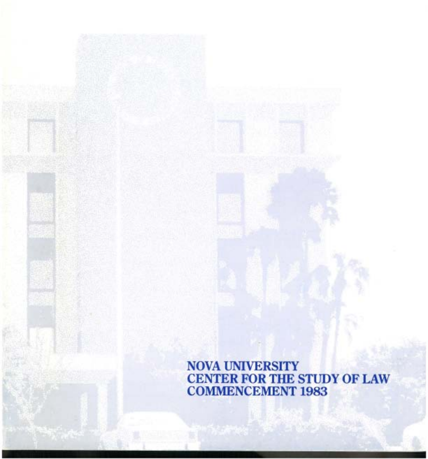NOVA UNIVERSITY CENTER FOR THE STUDY OF LAW COMMENCEMENT 1983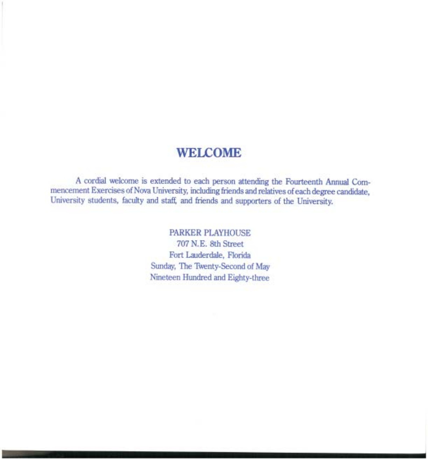#### **WELCOME**

A cordial welcome is extended to each person attending the Fourteenth Annual Commencement Exercises of Nova University, including friends and relatives of each degree candidate, University students, faculty and staff, and friends and supporters of the University.

> PARKER PLAYHOUSE 707 N.E. 8th Street Fort Lauderdale, Florida Sunday, The Twenty-Second of May Nineteen Hundred and Eighty-three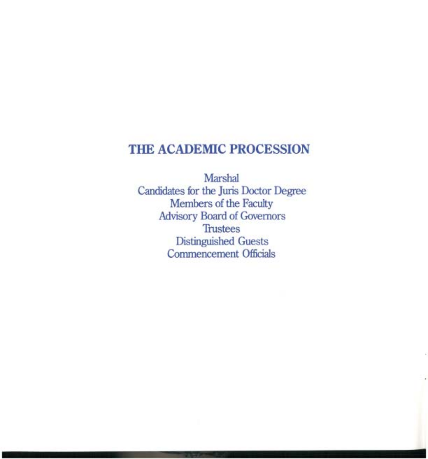## **THE ACADEMIC PROCESSION**

Marshal Candidates for the Juris Doctor Degree Members of the Faculty Advisory Board of Governors **Trustees** Distinguished Guests Commencement Officials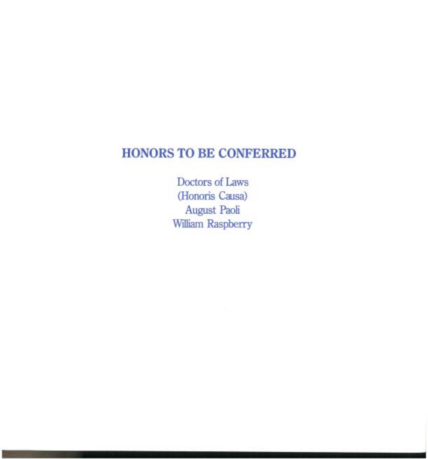## **HONORS TO BE CONFERRED**

Doctors of Laws (Honoris Causa) August Paoli William Raspberry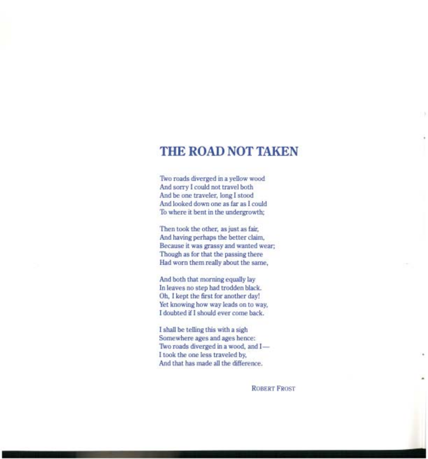#### **THE ROAD NOT TAKEN**

Two roads diverged in a yellow wood And sorry I could not travel both And be one traveler, long I stood And looked down one as far as I could To where it bent in the undergrowth;

Then took the other, as just as fair, And having perhaps the better claim, Because it was grassy and wanted wear; Though as for that the passing there Had worn them really about the same,

And both that morning equally lay **In** leaves no step had trodden black. Oh, I kept the first for another day! Yet knowing how way leads on to way, I doubted if I should ever come back.

I shall be telling this with a sigh Somewhere ages and ages hence: Two roads diverged in a wood, and I-I took the one less traveled by, And that has made all the difference.

ROBERT FROST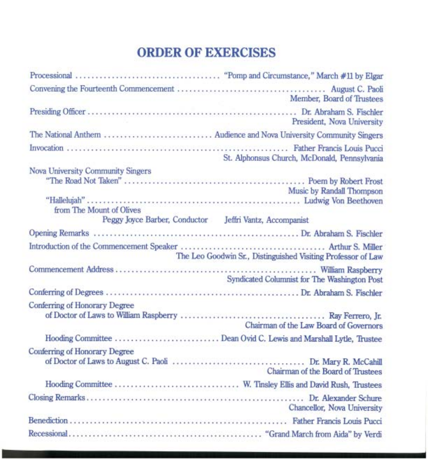## **ORDER OF EXERCISES**

|                                                                   | Member, Board of Trustees                                    |
|-------------------------------------------------------------------|--------------------------------------------------------------|
|                                                                   | President, Nova University                                   |
|                                                                   |                                                              |
|                                                                   | St. Alphonsus Church, McDonald, Pennsylvania                 |
| Nova University Community Singers<br>from The Mount of Olives     | Music by Randall Thompson                                    |
| Peggy Joyce Barber, Conductor Jeffri Vantz, Accompanist           |                                                              |
|                                                                   |                                                              |
|                                                                   | The Leo Goodwin Sr., Distinguished Visiting Professor of Law |
|                                                                   | Syndicated Columnist for The Washington Post                 |
|                                                                   |                                                              |
| Conferring of Honorary Degree                                     | Chairman of the Law Board of Governors                       |
| Hooding Committee  Dean Ovid C. Lewis and Marshall Lytle, Trustee |                                                              |
| Conferring of Honorary Degree                                     | Chairman of the Board of Trustees                            |
|                                                                   |                                                              |
|                                                                   | Chancellor, Nova University                                  |
|                                                                   |                                                              |
|                                                                   |                                                              |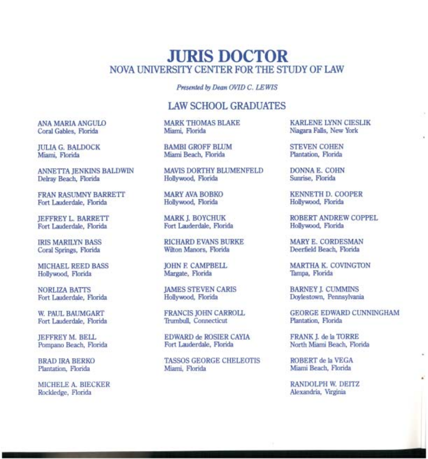#### **JURIS DOCTOR**  NOVA UNIVERSITY CENTER FOR THE STUDY OF LAW

*Presented by Dean OVID* C. *LEWIS* 

#### LAW SCHOOL GRADUATES

MARK THOMAS BLAKE Miami, Florida

BAMBI GROFF BLUM Miami Beach, Florida

**MAVIS DORTHY BLUMENFELD** Hollywood, Florida

MARY AVA BOBKO Hollywood, Florida

MARK]. BOYCHUK Fort Lauderdale, Florida

RICHARD EVANS BURKE Wilton Manors, Florida

JOHN E CAMPBELL Margate, Florida

JAMES STEVEN CARIS Hollywood, Florida

FRANCIS JOHN CARROLL Trumbull, Connecticut

EDWARD de ROSIER CAYIA Fort Lauderdale, Florida

TASSOS GEORGE CHELEOTIS Miami, Florida

KARLENE LYNN CIESLIK Niagara Falls, New York

STEVEN COHEN Plantation, Florida

DONNA E. COHN Sunrise, Florida

KENNETH D. COOPER Hollywood, Florida

ROBERT ANDREW COPPEL Hollywood, Florida

MARY E. CORDESMAN Deerfield Beach, Florida

MARTHA K. COVINGTON Tampa, Florida

BARNEY]. CUMMINS Doylestown, Pennsylvania

GEORGE EDWARD CUNNINGHAM Plantation, Florida

FRANK]. de la TORRE North Miami Beach, Florida

ROBERT de la VEGA Miami Beach, Florida

RANDOLPH W. DEITZ Alexandria, VIrginia

ANA MARIA ANGULO Coral Gables, Florida

JULIA G. BALDOCK Miami, Florida

ANNETTA JENKINS BALDWIN Delray Beach, Florida

FRAN RASUMNY BARRETT Fort Lauderdale, Florida

JEFFREY L. BARRETT Fort Lauderdale, Florida

IRIS MARILYN BASS Coral Springs, Florida

MICHAEL REED BASS Hollywood, Florida

NORLIZA BATTS Fort Lauderdale, Florida

W. PAUL BAUMGART Fort Lauderdale, Florida

JEFFREY M. BELL Pompano Beach, Florida

BRAD IRA BERKO Plantation, Florida

MICHELE A. BlECKER Rockledge, Florida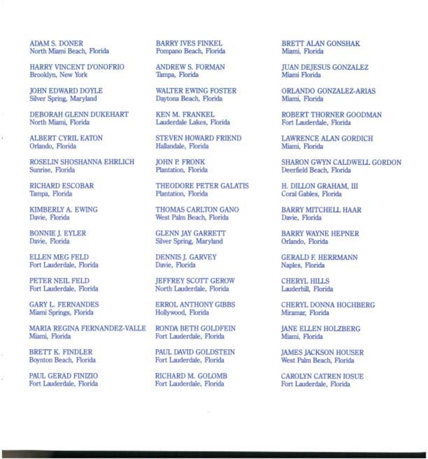ADAM S. DONER North Miami Beach, Florida

HARRY VINCENT D'ONOFRIO Brooklyn, New York

JOHN EDWARD DOYLE Silver Spring, Maryland

DEBORAH GLENN DUKEHART North Miami, Florida

ALBERT CYRIL EATON Orlando, Florida

ROSELIN SHOSHANNA EHRLICH Sunrise, Florida

RICHARD ESCOBAR Tampa, Florida

KIMBERLY A. EWING Davie, Florida

BONNIE J. EYLER Davie, Florida

ELLEN MEG FELD Fort Lauderdale, Florida

PETER NEIL FELD Fort Lauderdale, Florida

**GARY L. FERNANDES** Miami Springs, Florida

MARIA REGINA FERNANDEZ-VALLE Miami, Florida

BRETT K. FINDLER Boynton Beach, Florida

PAUL GERAD FINIZIO Fort Lauderdale, Florida BARRY IVES FINKEL Pompano Beach, Florida

ANDREW S. FORMAN Tampa, Florida

WALTER EWING FOSTER Daytona Beach, Florida

KEN M. FRANKEL Lauderdale Lakes, Florida

STEVEN HOWARD FRIEND Hallandale, Florida

JOHN P. FRONK Plantation, Florida

THEODORE PETER GALATIS Plantation, Florida

THOMAS CARLTON GANO West Palm Beach, Florida

GLENN JAY GARRETT Silver Spring, Maryland

DENNIS]. GARVEY Davie, Florida

JEFFREY SCOTT GEROW North Lauderdale, Florida

ERROL ANTHONY GIBBS Hollywood, Florida

RONDA BETH GOLDFEIN Fort Lauderdale, Florida

PAUL DAVID GOLDSTEIN Fort Lauderdale, Florida

RICHARD M. GOLOMB Fort Lauderdale, Florida

BRETT ALAN GONSHAK Miami, Florida

JUAN DEJESUS GONZALEZ Miami Florida

ORLANDO GONZALEZ-ARIAS Miami, Florida

ROBERT THORNER GOODMAN Fort Lauderdale, Florida

LAWRENCE ALAN GORDICH Miami, Florida

SHARON GWYN CALDWELL GORDON Deerfield Beach, Florida

H. DILLON GRAHAM, III Coral Gables, Florida

BARRY MITCHELL HAAR Davie, Florida

BARRY WAYNE HEPNER Orlando, Florida

GERALD F. HERRMANN Naples, Florida

CHERYL HILLS Lauderhill, Florida

CHERYL DONNA HOCHBERG Miramar, Florida

JANE ELLEN HOLZBERG Miami, Florida

JAMES JACKSON HOUSER West Palm Beach, Florida

**CAROLYN CATREN IOSUE** Fort Lauderdale, Florida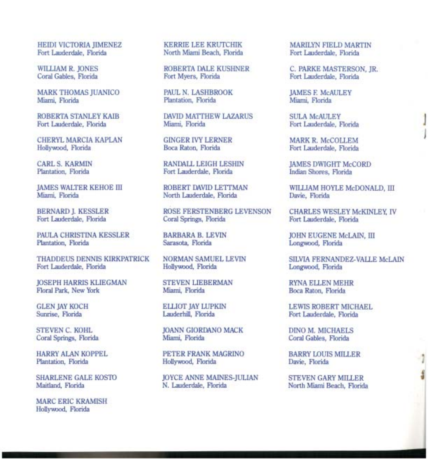HEIDI VICTORIA JIMENEZ KERRIE LEE KRUTCHIK MARILYN FIELD MARTIN

MARK THOMAS JUANICO PAUL N. LASHBROOK JAMES E McAULEY

CHERYL MARCIA KAPLAN GINGER IVY LERNER MARK R. McCOLLEM Hollywood, Florida Boca Raton, Florida Mark R. McCOLLEM

PAULA CHRISTINA KESSLER BARBARA B. LEVIN JOHN EUGENE McLAIN, III Plantation. Florida Sarasota. Florida Barbara Barbara Barbara Barbara Barbara Barbara B

THADDEUS DENNIS KIRKPATRICK MORMAN SAMUEL LEVIN SILVIA FERNANDEZ-VALLE McLAIN Fort Lauderdale, Florida Hollywood, Florida Longwood, Florida Fort Lauderdale, Florida

JOSEPH HARRIS KLIEGMAN STEVEN LIEBERMAN RYNA ELLEN MEHR Florida Park, New York Millenn Millenni, Florida Floral Park, New York

MARC ERIC KRAMISH Hollywood, Florida

North Miami Beach, Florida

WILLIAM R. JONES ROBERTA DALE KUSHNER C. PARKE MASTERSON, JR. Coral Gables, Florida Fort Myers, Florida

Plantation, Florida

ROBERTA STANLEY KAIB DAVID MATTHEW LAZARUS SULA McAULEY Fort Lauderdale, Florida Miami, Florida Fort Lauderdale, Florida J

Fort Lauderdale, Florida

North Lauderdale, Florida

BERNARD]. KESSLER ROSE FERSTENBERG LEVENSON CHARLES WESLEY McKINLEY, IV

STEVEN C. KOHL JOANN GIORDANO MACK DINO M. MICHAELS

HARRY ALAN KOPPEL PETER FRANK MAGRINO BARRY LOUIS MILLER Plantation, Florida **Hollywood, Florida** Davie, Florida Davie, Florida Davie, Florida Davie, Florida Davie, Florida

SHARLENE GALE KOSTO JOYCE ANNE MAINES-JULIAN STEVEN GARY MILLER 4

Fort Lauderdale, Florida

Fort Lauderdale, Florida

CARL S. KARMIN RANDALL LEIGH LESHIN JAMES DWIGHT McCORD Plantation, Florida Fort Lauderdale, Florida Indian Shores, Flor

JAMES WALTER KEHOE III ROBERT DAVID LETTMAN WILLIAM HOYLE McDONALD, III

Fort Lauderdale, Florida

Longwood, Florida

GLEN JAY KOCH ELLIOT JAY LUPKIN LEWIS ROBERT MICHAEL Fort Lauderdale, Florida

Coral Gables, Florida

North Miami Beach, Florida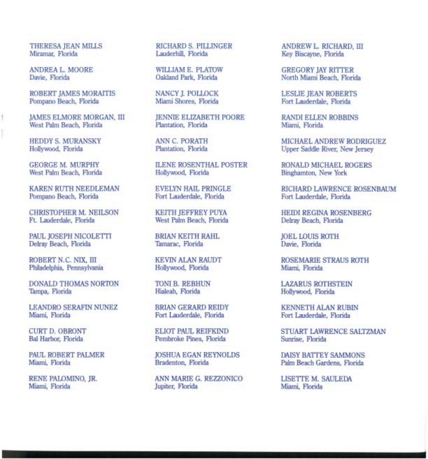1

ROBERT JAMES MORAITIS NANCY]. POLLOCK LESLIE JEAN ROBERTS

JAMES ELMORE MORGAN, III JENNIE ELIZABETH POORE RANDI ELLEN ROBBINS<br>West Palm Beach, Florida Plantation, Florida Miami, Florida West Palm Beach, Florida

CHRISTOPHER M. NEILSON KEITH JEFFREY PUYA HEIDI REGINA ROSENBERG<br>Ft. Lauderdale, Florida West Palm Beach, Florida Delray Beach, Florida

PAUL JOSEPH NICOLETTI BRIAN KEITH RAHL BOEL LOUIS ROTH Delray Beach, Florida Delray Beach, Florida

Philadelphia, Pennsylvania

DONALD THOMAS NORTON TONI B. REBHUN TOM LAZARUS ROTHSTEIN Tampa, Florida Hollywood, Florida

LEANDRO SERAFIN NUNEZ BRIAN GERARD REIDY KENNETH ALAN RUBIN Miami, Florida **Britanni, Florida** Fort Lauderdale, Florida

ANDREA L. MOORE WILLIAM E. PLATOW GREGORY JAY RITTER

GEORGE M. MURPHY ILENE ROSENTHAL POSTER RONALD MICHAEL ROGERS West Palm Beach, Florida **Hollywood, Florida** Binghamton, New York

West Palm Beach, Florida

Fort Lauderdale, Florida

Pembroke Pines, Florida

PAUL ROBERT PALMER JOSHUA EGAN REYNOLDS DAISY BATTEY SAMMONS

RENE PALOMINO, JR. ANN MARIE G. REZZONICO LISETTE M. SAULEDA

THERESA JEAN MILLS **RICHARD S. PILLINGER** ANDREW L. RICHARD, III Miramar, Florida **Expanditure Canadian** Lauderhill, Florida **Rev** Biscavne, Florida Key Biscayne, Florida

North Miami Beach, Florida

Fort Lauderdale, Florida

HEDDY S. MURANSKY ANN C. PORATH MICHAEL ANDREW RODRIGUEZ Upper Saddle River, New Jersey

KAREN RUTH NEEDLEMAN EVELYN HAIL PRINGLE RICHARD LAWRENCE ROSENBAUM Fort Lauderdale, Florida

ROBERT N. C. NIX, III KEVIN ALAN RAUDT ROSEMARIE STRAUS ROTH

Hollywood, Florida

CURT D. OBRONT ELIOT PAUL REIFKIND STUART LAWRENCE SALTZMAN

Palm Beach Gardens, Florida

Miami, Florida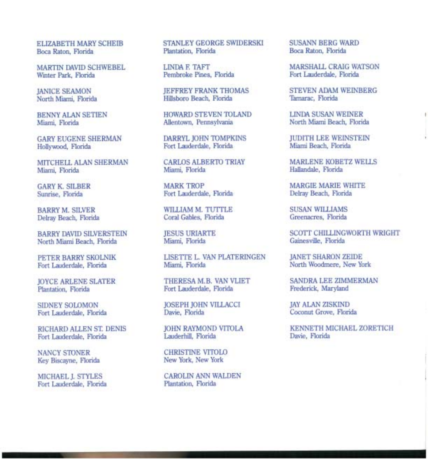ELIZABETH MARY SCHEIB Boca Raton, Florida

MARTIN DAVID SCHWEBEL Wmter Park, Florida

JANICE SEAMON North Miami, Florida

BENNY ALAN SETIEN Miami, Florida

GARYEUGENESHERMAN Hollywood, Florida

MITCHELL ALAN SHERMAN Miami, Florida

GARY K. SILBER Sunrise, Florida

BARRY M. SILVER Delray Beach, Florida

BARRY DAVID SILVERSTEIN North Miami Beach, Florida

PETER BARRY SKOLNIK Fort Lauderdale, Florida

JOYCE ARLENE SLATER Plantation, Florida

SIDNEY SOLOMON Fort Lauderdale, Florida

RICHARD ALLEN ST. DENIS Fort Lauderdale, Florida

NANCY STONER Key Biscayne, Florida

MICHAEL]. STYLES Fort Lauderdale, Florida STANLEY GEORGE SWIDERSKI Plantation, Florida

LINDAE TAFf Pembroke Pines, Florida

JEFFREY FRANK THOMAS Hillsboro Beach, Florida

HOWARD STEVEN TOLAND Allentown, Pennsylvania

DARRYL JOHN TOMPKINS Fort Lauderdale, Florida

CARLOS ALBERTO TRIAY Miami, Florida

MARK TROP Fort Lauderdale, Florida

WILLIAM M. TUTTLE Coral Gables, Florida

JESUS URIARTE Miami, Florida

LISETTE L. VAN PLATERINGEN Miami, Florida

THERESA M.B. VAN VLIET Fort Lauderdale, Florida

JOSEPH JOHN VILLACCI Davie, Florida

JOHN RAYMOND VITOLA Lauderhill, Florida

CHRISTINE VITOLO New York, New York

CAROLIN ANN WALDEN Plantation, Florida

SUSANN BERG WARD Boca Raton, Florida

MARSHALL CRAIG WATSON Fort Lauderdale, Florida

STEVEN ADAM WEINBERG Tamarac, Florida

LINDA SUSAN WEINER North Miami Beach, Florida

JUDITH LEE WEINSTEIN Miami Beach, Florida

MARLENE KOBETZ WELLS Hallandale, Florida

MARGIE MARIE WHITE Delray Beach, Florida

SUSAN WILLIAMS Greenacres, Florida

SCOTT CHILLINGWORTH WRIGHT Gainesville, Florida

JANET SHARON ZEIDE North Woodmere, New York

SANDRA LEE ZIMMERMAN Frederick, Maryland

JAY ALAN ZISKIND Coconut Grove, Florida

KENNETH MICHAEL ZORETICH Davie, Florida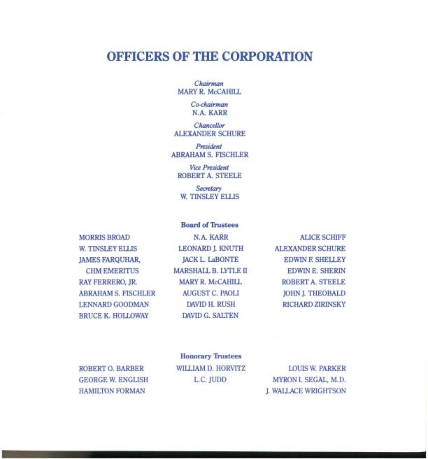#### **OFFICERS OF THE CORPORATION**

*Chairman*  MARY R. McCAHILL

> *Co-chairman*  N.A. KARR

*Chancellor*  **ALEXANDER SCHURE** 

*President*  ABRAHAM S. FISCHLER

*Vice President*  ROBERT A. STEELE

*Secretary*  W. TINSLEY ELLIS

Board of Trustees

MORRIS BROAD W. TINSLEY ELLIS JAMES FARQUHAR, CHM EMERITUS RAY FERRERO, JR. ABRAHAM S. FISCHLER LENNARD GOODMAN BRUCE K. HOLLOWAY

N.A. KARR LEONARD J. KNUTH JACK L. LaBONTE MARSHALL B. LYTLE II MARY R. McCAHILL AUGUST C. PAOLI DAVID H. RUSH DAVID G. SALTEN

ALICE SCHIFF **ALEXANDER SCHURE** EDWIN E SHELLEY EDWIN E. SHERIN ROBERT A. STEELE JOHN J. THEOBALD RICHARD ZIRINSKY

ROBERT O. BARBER GEORGE W. ENGLISH HAMILTON FORMAN

Honorary Trustees WILLIAM D. HORVITZ L.C. JUDD

LOUIS W. PARKER MYRON I. SEGAL, M.D. J. WALLACE WRIGHTSON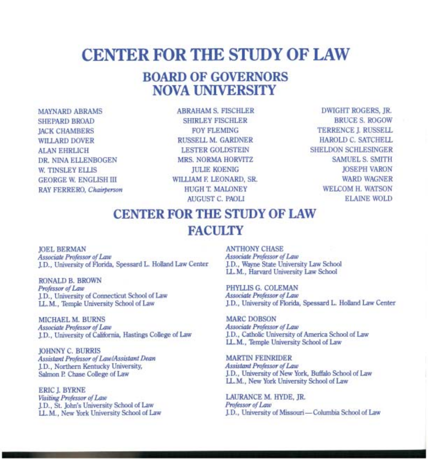# **CENTER FOR THE STUDY OF LAW**

### **BOARD OF GOVERNORS NOVA UNIVERSITY**

MAYNARD ABRAMS SHEPARD BROAD JACK CHAMBERS WILLARD DOVER ALAN EHRLICH DR. NINA ELLENBOGEN W. TINSLEY ELLIS GEORGE W. ENGLISH III RAY FERRERO, *Chairperson* 

ABRAHAM S. FISCHLER SHIRLEY FISCHLER **FOY FLEMING** RUSSELL M. GARDNER LESTER GOLDSTEIN MRS. NORMA HORVITZ JULIE KOENIG WILLIAM F. LEONARD, SR. HUGH T. MALONEY AUGUST C. PAOLI

DWIGHT ROGERS, JR. BRUCE S. ROGOW TERRENCE I. RUSSELL HAROLD C. SATCHELL SHELDON SCHLESINGER SAMUEL S. SMITH JOSEPH VARON WARD WAGNER WELCOM H. WATSON ELAINE WOLD

## CENTER FOR THE STUDY OF LAW **FACULTY**

JOEL BERMAN *Associate Professor of Law*  J.D., University of Florida, Spessard L. Holland Law Center

RONALD B. BROWN *Professor of Law*  JD., University of Connecticut School of Law LL. M., Temple University School of Law

MICHAEL M. BURNS *Associate Professor of Law*  JD., University of California, Hastings College of Law

JOHNNY C. BURRIS *Assistant Professor of Law/Assistant Dean*  JD., Northern Kentucky University, Salmon P. Chase College of Law

**ERIC L BYRNE** *Visiting Professor of Law*  J.D., St. John's University School of Law LL.M., New York University School of Law

ANTHONY CHASE *Associate Professor of Law*  JD., Wayne State University Law School LL. M., Harvard University Law School

PHYLLIS G. COLEMAN *Associate Professor of Law*  J.D., University of Florida, Spessard L. Holland Law Center

MARC DOBSON *Associate Professor of Law*  J.D., Catholic University of America School of Law LL. M., Temple University School of Law

MARTIN FEINRIDER *Assistant Professor of Law*  J.D., University of New York, Buffalo School of Law LL.M., New York University School of Law

LAURANCE M. HYDE, JR. *Professor of Law*  J.D., University of Missouri-Columbia School of Law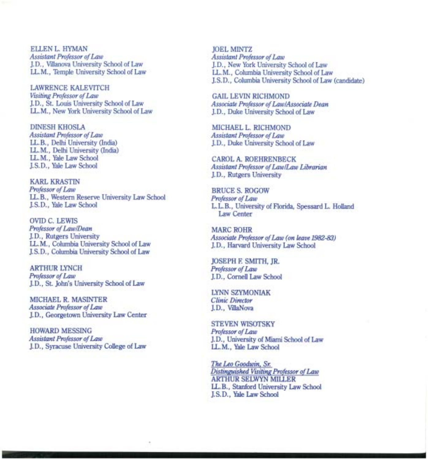ELLEN L. HYMAN *Assistant Professor of Law*  J. D., Villanova University School of Law LL. M., Temple University School of Law

LAWRENCE KALEVITCH *Visiting Professor of Law*  J. D., St. Louis University School of Law LL.M., New York University School of Law

DINESH KHOSLA *Assistant Professor of Law*  LL.B., Delhi University (India) LL.M., Delhi University (India) LL. M., Yale Law School J.S.D., Yale Law School

KARL KRASTIN *Professor of Law*  LL.B., Western Reserve University Law School J.S.D., Yale Law School

OVID C. LEWIS *Professor of LawlDean*  J.D., Rutgers University LL. M., Columbia University School of Law J.S.D., Columbia University School of Law

ARTHUR LYNCH *Professor of Law*  J.D., St. John's University School of Law

MICHAEL R. MASINTER *Associate Professor of Law*  J.D., Georgetown University Law Center

HOWARD MESSING *Assistant Professor of Law*  J. D., Syracuse University College of Law

JOEL MINTZ *Assistant Professor of Law*  J.D., New York University School of Law LL. M., Columbia University School of Law J.S.D., Columbia University School of Law (candidate)

GAIL LEVIN RICHMOND *Associate Professor of Law/Associate Dean*  J.D., Duke University School of Law

MICHAEL L. RICHMOND *Assistant Professor of Law*  J.D., Duke University School of Law

CAROL A. ROEHRENBECK *Assistant Professor of Law/Law Librarian*  J.D., Rutgers University

BRUCE S. ROGOW *Professor of Law*  L. L. B., University of Florida, Spessard L. Holland Law Center

MARC ROHR *Associate Professor of Law (on leave 1982-83)*  J.D., Harvard University Law School

JOSEPH F. SMITH, JR. *Professor of Law*  J.D., Cornell Law School

LYNN SZYMONIAK *Clinic Director*  J.D., VillaNova

STEVEN WISOTSKY *Professor of Law*  J. D., University of Miami School of Law LL. M., Yale Law School

*The Leo Goodwin, Sr. Distinguished Visiting Professor of Law*  ARTHUR SELWYN MILLER LL. B., Stanford University Law School J.S.D., Yale Law School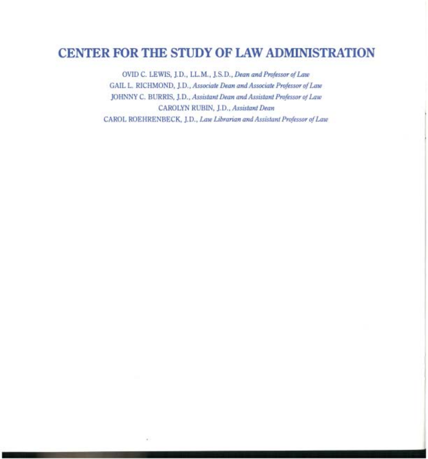### **CENTER FOR THE STUDY OF LAW ADMINISTRATION**

OVID C. LEWIS, ].D., LL.M., ].S.D., *Dean and Professor of Law*  GAIL L. RICHMOND, ]. D., *Associate Dean and Associate Professor of Law*  JOHNNY C. BURRIS, ]. D., *Assistant Dean and Assistant Professor of Law*  CAROLYN RUBIN, ].D., *Assistant Dean*  CAROL ROEHRENBECK, ]. D., *Law Librarian and Assistant Professor of Law*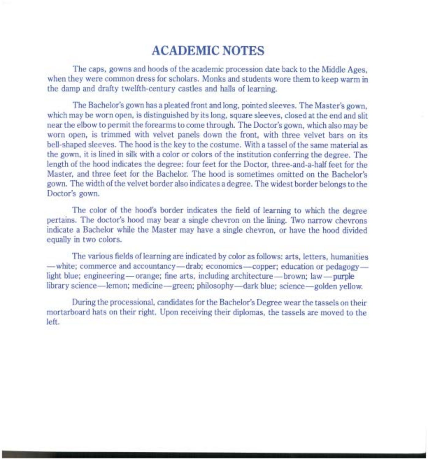#### **ACADEMIC NOTES**

The caps, gowns and hoods of the academic procession date back to the Middle Ages, when they were common dress for scholars. Monks and students wore them to keep warm in the damp and drafty twelfth-century castles and halls of learning.

The Bachelor's gown has a pleated front and long, pointed sleeves. The Master's gown, which may be worn open, is distinguished by its long, square sleeves, closed at the end and slit near the elbow to permit the forearms to come through. The Doctor's gown, which also may be worn open, is trimmed with velvet panels down the front, with three velvet bars on its bell-shaped sleeves. The hood is the key to the costume. With a tassel of the same material as the gown, it is lined in silk with a color or colors of the institution conferring the degree. The length of the hood indicates the degree: four feet for the Doctor, three-and-a-half feet for the Master, and three feet for the Bachelor. The hood is sometimes omitted on the Bachelor's gown. The width of the velvet border also indicates a degree. The widest border belongs to the Doctor's gown.

The color of the hood's border indicates the field of learning to which the degree pertains. The doctor's hood may bear a single chevron on the lining. Two narrow chevrons indicate a Bachelor while the Master may have a single chevron, or have the hood divided equally in two colors.

The various fields of learning are indicated by color as follows: arts, letters, humanities -white; commerce and accountancy-drab; economics-copper; education or pedagogylight blue; engineering — orange; fine arts, including architecture — brown; law — purple library science—lemon; medicine—green; philosophy—dark blue; science—golden yellow.

During the processional, candidates for the Bachelor's Degree wear the tassels on their mortarboard hats on their right. Upon receiving their diplomas, the tassels are moved to the left.